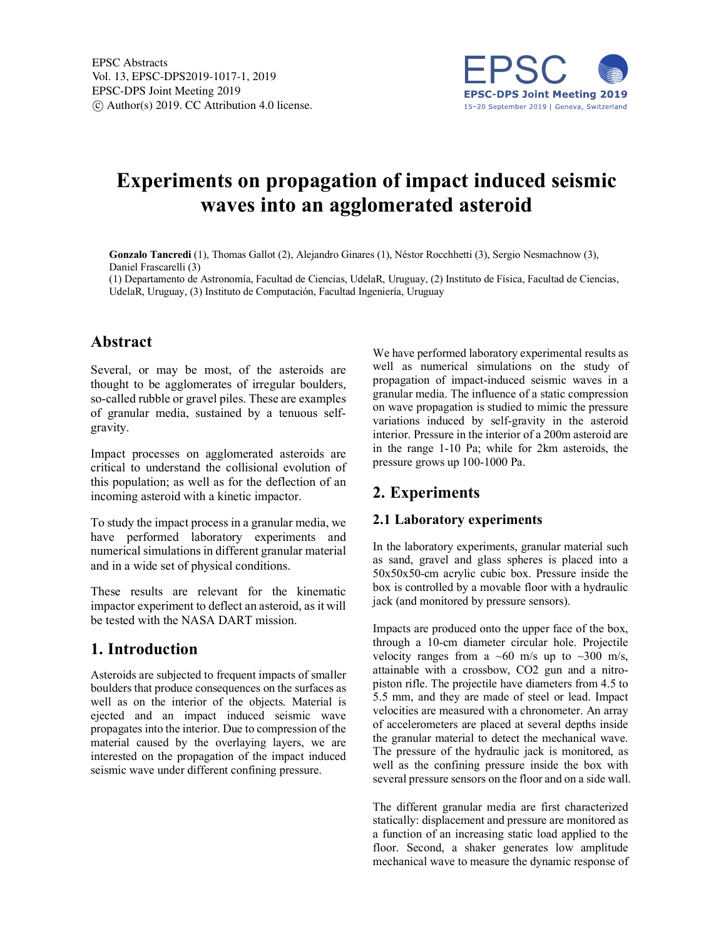

# **Experiments on propagation of impact induced seismic waves into an agglomerated asteroid**

**Gonzalo Tancredi** (1), Thomas Gallot (2), Alejandro Ginares (1), Néstor Rocchhetti (3), Sergio Nesmachnow (3), Daniel Frascarelli (3)

(1) Departamento de Astronomía, Facultad de Ciencias, UdelaR, Uruguay, (2) Instituto de Física, Facultad de Ciencias, UdelaR, Uruguay, (3) Instituto de Computación, Facultad Ingeniería, Uruguay

## **Abstract**

Several, or may be most, of the asteroids are thought to be agglomerates of irregular boulders, so-called rubble or gravel piles. These are examples of granular media, sustained by a tenuous selfgravity.

Impact processes on agglomerated asteroids are critical to understand the collisional evolution of this population; as well as for the deflection of an incoming asteroid with a kinetic impactor.

To study the impact process in a granular media, we have performed laboratory experiments and numerical simulations in different granular material and in a wide set of physical conditions.

These results are relevant for the kinematic impactor experiment to deflect an asteroid, as it will be tested with the NASA DART mission.

## **1. Introduction**

Asteroids are subjected to frequent impacts of smaller boulders that produce consequences on the surfaces as well as on the interior of the objects. Material is ejected and an impact induced seismic wave propagates into the interior. Due to compression of the material caused by the overlaying layers, we are interested on the propagation of the impact induced seismic wave under different confining pressure.

We have performed laboratory experimental results as well as numerical simulations on the study of propagation of impact-induced seismic waves in a granular media. The influence of a static compression on wave propagation is studied to mimic the pressure variations induced by self-gravity in the asteroid interior. Pressure in the interior of a 200m asteroid are in the range 1-10 Pa; while for 2km asteroids, the pressure grows up 100-1000 Pa.

# **2. Experiments**

#### **2.1 Laboratory experiments**

In the laboratory experiments, granular material such as sand, gravel and glass spheres is placed into a 50x50x50-cm acrylic cubic box. Pressure inside the box is controlled by a movable floor with a hydraulic jack (and monitored by pressure sensors).

Impacts are produced onto the upper face of the box, through a 10-cm diameter circular hole. Projectile velocity ranges from a  $\sim 60$  m/s up to  $\sim 300$  m/s, attainable with a crossbow, CO2 gun and a nitropiston rifle. The projectile have diameters from 4.5 to 5.5 mm, and they are made of steel or lead. Impact velocities are measured with a chronometer. An array of accelerometers are placed at several depths inside the granular material to detect the mechanical wave. The pressure of the hydraulic jack is monitored, as well as the confining pressure inside the box with several pressure sensors on the floor and on a side wall.

The different granular media are first characterized statically: displacement and pressure are monitored as a function of an increasing static load applied to the floor. Second, a shaker generates low amplitude mechanical wave to measure the dynamic response of